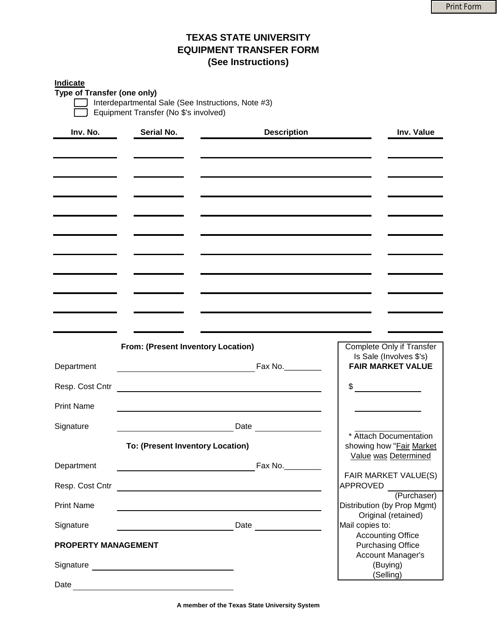## **TEXAS STATE UNIVERSITY EQUIPMENT TRANSFER FORM (See Instructions)**

## **Indicate**

**Type of Transfer (one only)**

Interdepartmental Sale (See Instructions, Note #3) Equipment Transfer (No \$'s involved)

| Inv. No.<br>Serial No.            |                                    | <b>Description</b> |                 | Inv. Value                                                                                                            |
|-----------------------------------|------------------------------------|--------------------|-----------------|-----------------------------------------------------------------------------------------------------------------------|
|                                   |                                    |                    |                 |                                                                                                                       |
|                                   |                                    |                    |                 |                                                                                                                       |
|                                   |                                    |                    |                 |                                                                                                                       |
| and the control of the control of |                                    |                    |                 |                                                                                                                       |
|                                   |                                    |                    |                 |                                                                                                                       |
|                                   |                                    |                    |                 |                                                                                                                       |
|                                   |                                    |                    |                 |                                                                                                                       |
|                                   |                                    |                    |                 |                                                                                                                       |
|                                   |                                    |                    |                 |                                                                                                                       |
|                                   |                                    |                    |                 |                                                                                                                       |
|                                   |                                    |                    |                 |                                                                                                                       |
|                                   |                                    |                    |                 |                                                                                                                       |
|                                   |                                    |                    |                 |                                                                                                                       |
|                                   |                                    |                    |                 |                                                                                                                       |
|                                   | From: (Present Inventory Location) |                    |                 | Complete Only if Transfer<br>Is Sale (Involves \$'s)                                                                  |
| Department                        |                                    |                    | Fax No.         | <b>FAIR MARKET VALUE</b>                                                                                              |
| Resp. Cost Cntr                   |                                    |                    | \$              | <u> a componenta de la componenta de la componenta de la componenta de la componenta de la componenta de la compo</u> |
|                                   |                                    |                    |                 |                                                                                                                       |
| <b>Print Name</b>                 |                                    |                    |                 |                                                                                                                       |
| Signature                         |                                    |                    |                 |                                                                                                                       |
|                                   | To: (Present Inventory Location)   |                    |                 | * Attach Documentation<br>showing how "Fair Market                                                                    |
|                                   |                                    |                    |                 | Value was Determined                                                                                                  |
| Department                        |                                    |                    | Fax No.         | FAIR MARKET VALUE(S)                                                                                                  |
| Resp. Cost Cntr                   |                                    |                    | APPROVED        |                                                                                                                       |
| <b>Print Name</b>                 |                                    |                    |                 | (Purchaser)<br>Distribution (by Prop Mgmt)                                                                            |
|                                   |                                    |                    |                 | Original (retained)                                                                                                   |
| Signature                         |                                    | Date               | Mail copies to: | <b>Accounting Office</b>                                                                                              |
| <b>PROPERTY MANAGEMENT</b>        |                                    |                    |                 | <b>Purchasing Office</b>                                                                                              |
|                                   |                                    |                    |                 | <b>Account Manager's</b><br>(Buying)                                                                                  |
|                                   |                                    |                    |                 | (Selling)                                                                                                             |
| Date                              |                                    |                    |                 |                                                                                                                       |

**A member of the Texas State University System**